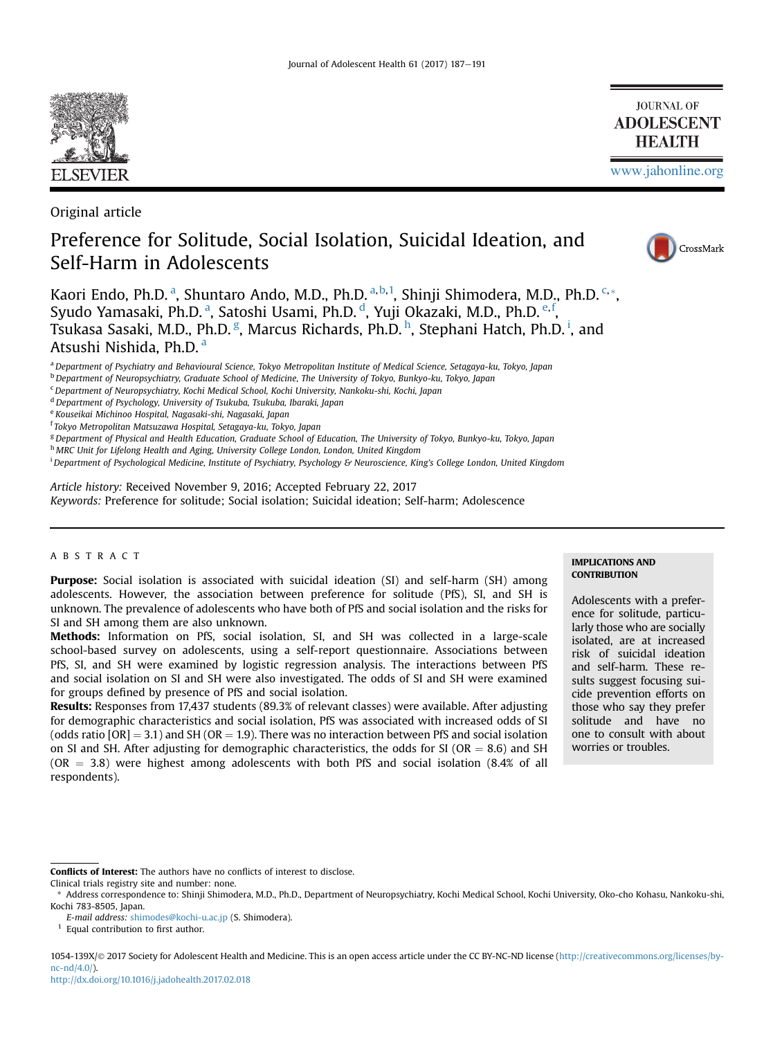

Original article

# Preference for Solitude, Social Isolation, Suicidal Ideation, and Self-Harm in Adolescents



[www.jahonline.org](http://www.jahonline.org)

**JOURNAL OF ADOLESCENT HEALTH** 

Kaori Endo, Ph.D.ª, Shuntaro Ando, M.D., Ph.D.ª<sup>,b,1</sup>, Shinji Shimodera, M.D., Ph.D.<sup>c,</sup>\*, Syudo Yamasaki, Ph.D.ª, Satoshi Usami, Ph.D.ª, Yuji Okazaki, M.D., Ph.D.º<sup>.f</sup>, Tsukasa Sasaki, M.D., Ph.D. <sup>g</sup>, Marcus Richards, Ph.D. <sup>h</sup>, Stephani Hatch, Ph.D. <sup>i</sup>, and Atsushi Nishida, Ph.D. <sup>a</sup>

a Department of Psychiatry and Behavioural Science, Tokyo Metropolitan Institute of Medical Science, Setagaya-ku, Tokyo, Japan

 $^{\rm b}$  Department of Neuropsychiatry, Graduate School of Medicine, The University of Tokyo, Bunkyo-ku, Tokyo, Japan

<sup>c</sup> Department of Neuropsychiatry, Kochi Medical School, Kochi University, Nankoku-shi, Kochi, Japan

<sup>d</sup> Department of Psychology, University of Tsukuba, Tsukuba, Ibaraki, Japan

<sup>e</sup> Kouseikai Michinoo Hospital, Nagasaki-shi, Nagasaki, Japan

<sup>f</sup> Tokyo Metropolitan Matsuzawa Hospital, Setagaya-ku, Tokyo, Japan

<sup>g</sup> Department of Physical and Health Education, Graduate School of Education, The University of Tokyo, Bunkyo-ku, Tokyo, Japan

h MRC Unit for Lifelong Health and Aging, University College London, London, United Kingdom

i Department of Psychological Medicine, Institute of Psychiatry, Psychology & Neuroscience, King's College London, United Kingdom

Article history: Received November 9, 2016; Accepted February 22, 2017 Keywords: Preference for solitude; Social isolation; Suicidal ideation; Self-harm; Adolescence

## ABSTRACT

Purpose: Social isolation is associated with suicidal ideation (SI) and self-harm (SH) among adolescents. However, the association between preference for solitude (PfS), SI, and SH is unknown. The prevalence of adolescents who have both of PfS and social isolation and the risks for SI and SH among them are also unknown.

Methods: Information on PfS, social isolation, SI, and SH was collected in a large-scale school-based survey on adolescents, using a self-report questionnaire. Associations between PfS, SI, and SH were examined by logistic regression analysis. The interactions between PfS and social isolation on SI and SH were also investigated. The odds of SI and SH were examined for groups defined by presence of PfS and social isolation.

Results: Responses from 17,437 students (89.3% of relevant classes) were available. After adjusting for demographic characteristics and social isolation, PfS was associated with increased odds of SI (odds ratio  $[OR] = 3.1$ ) and SH (OR = 1.9). There was no interaction between PfS and social isolation on SI and SH. After adjusting for demographic characteristics, the odds for SI (OR  $= 8.6$ ) and SH  $(OR = 3.8)$  were highest among adolescents with both PfS and social isolation (8.4% of all respondents).

# IMPLICATIONS AND **CONTRIBUTION**

Adolescents with a preference for solitude, particularly those who are socially isolated, are at increased risk of suicidal ideation and self-harm. These results suggest focusing suicide prevention efforts on those who say they prefer solitude and have no one to consult with about worries or troubles.

Conflicts of Interest: The authors have no conflicts of interest to disclose.

1054-139X/© 2017 Society for Adolescent Health and Medicine. This is an open access article under the CC BY-NC-ND license ([http://creativecommons.org/licenses/by](http://creativecommons.org/licenses/by-nc-nd/4.0/)[nc-nd/4.0/](http://creativecommons.org/licenses/by-nc-nd/4.0/)).

Clinical trials registry site and number: none.

<sup>\*</sup> Address correspondence to: Shinji Shimodera, M.D., Ph.D., Department of Neuropsychiatry, Kochi Medical School, Kochi University, Oko-cho Kohasu, Nankoku-shi, Kochi 783-8505, Japan.

E-mail address: [shimodes@kochi-u.ac.jp](mailto:shimodes@kochi-u.ac.jp) (S. Shimodera).

 $^{\rm 1}$  Equal contribution to first author.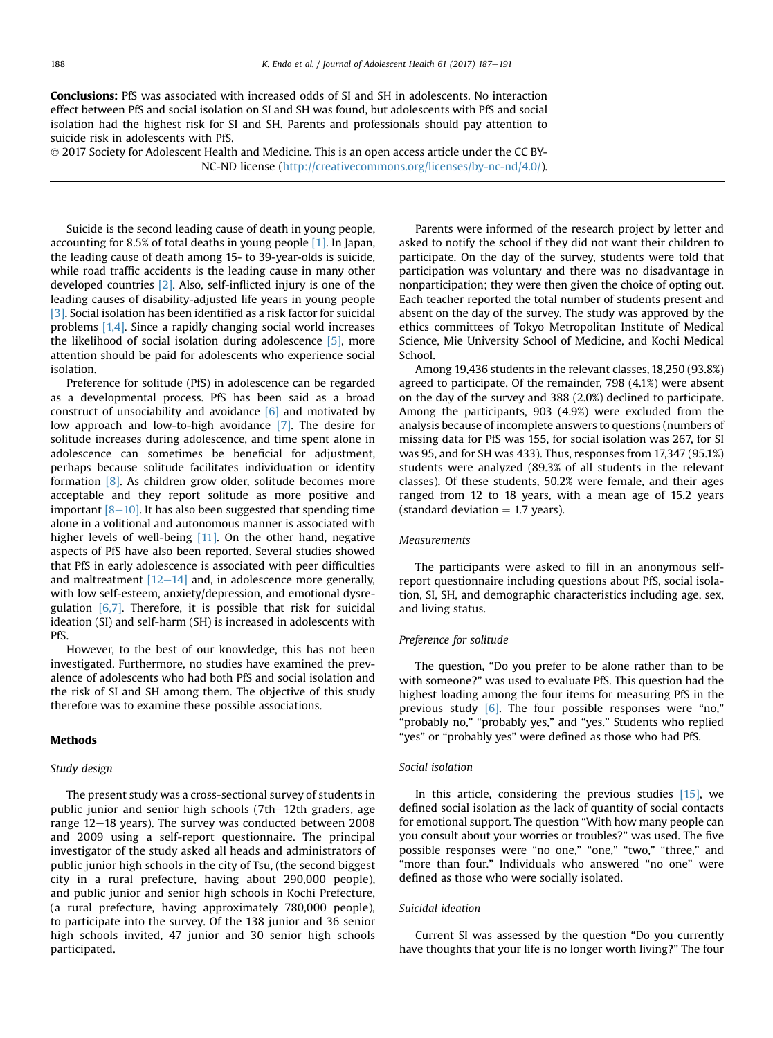Conclusions: PfS was associated with increased odds of SI and SH in adolescents. No interaction effect between PfS and social isolation on SI and SH was found, but adolescents with PfS and social isolation had the highest risk for SI and SH. Parents and professionals should pay attention to suicide risk in adolescents with PfS.

 2017 Society for Adolescent Health and Medicine. This is an open access article under the CC BY-NC-ND license (<http://creativecommons.org/licenses/by-nc-nd/4.0/>).

Suicide is the second leading cause of death in young people, accounting for 8.5% of total deaths in young people [\[1\]](#page-4-0). In Japan, the leading cause of death among 15- to 39-year-olds is suicide, while road traffic accidents is the leading cause in many other developed countries [\[2\].](#page-4-0) Also, self-inflicted injury is one of the leading causes of disability-adjusted life years in young people [\[3\]](#page-4-0). Social isolation has been identified as a risk factor for suicidal problems [\[1,4\].](#page-4-0) Since a rapidly changing social world increases the likelihood of social isolation during adolescence [\[5\]](#page-4-0), more attention should be paid for adolescents who experience social isolation.

Preference for solitude (PfS) in adolescence can be regarded as a developmental process. PfS has been said as a broad construct of unsociability and avoidance  $[6]$  and motivated by low approach and low-to-high avoidance [\[7\].](#page-4-0) The desire for solitude increases during adolescence, and time spent alone in adolescence can sometimes be beneficial for adjustment, perhaps because solitude facilitates individuation or identity formation [\[8\]](#page-4-0). As children grow older, solitude becomes more acceptable and they report solitude as more positive and important  $[8-10]$  $[8-10]$ . It has also been suggested that spending time alone in a volitional and autonomous manner is associated with higher levels of well-being  $[11]$ . On the other hand, negative aspects of PfS have also been reported. Several studies showed that PfS in early adolescence is associated with peer difficulties and maltreatment  $[12-14]$  $[12-14]$  $[12-14]$  and, in adolescence more generally, with low self-esteem, anxiety/depression, and emotional dysregulation  $[6,7]$ . Therefore, it is possible that risk for suicidal ideation (SI) and self-harm (SH) is increased in adolescents with PfS.

However, to the best of our knowledge, this has not been investigated. Furthermore, no studies have examined the prevalence of adolescents who had both PfS and social isolation and the risk of SI and SH among them. The objective of this study therefore was to examine these possible associations.

# Methods

## Study design

The present study was a cross-sectional survey of students in public junior and senior high schools (7th-12th graders, age range  $12-18$  years). The survey was conducted between 2008 and 2009 using a self-report questionnaire. The principal investigator of the study asked all heads and administrators of public junior high schools in the city of Tsu, (the second biggest city in a rural prefecture, having about 290,000 people), and public junior and senior high schools in Kochi Prefecture, (a rural prefecture, having approximately 780,000 people), to participate into the survey. Of the 138 junior and 36 senior high schools invited, 47 junior and 30 senior high schools participated.

Parents were informed of the research project by letter and asked to notify the school if they did not want their children to participate. On the day of the survey, students were told that participation was voluntary and there was no disadvantage in nonparticipation; they were then given the choice of opting out. Each teacher reported the total number of students present and absent on the day of the survey. The study was approved by the ethics committees of Tokyo Metropolitan Institute of Medical Science, Mie University School of Medicine, and Kochi Medical School.

Among 19,436 students in the relevant classes, 18,250 (93.8%) agreed to participate. Of the remainder, 798 (4.1%) were absent on the day of the survey and 388 (2.0%) declined to participate. Among the participants, 903 (4.9%) were excluded from the analysis because of incomplete answers to questions (numbers of missing data for PfS was 155, for social isolation was 267, for SI was 95, and for SH was 433). Thus, responses from 17,347 (95.1%) students were analyzed (89.3% of all students in the relevant classes). Of these students, 50.2% were female, and their ages ranged from 12 to 18 years, with a mean age of 15.2 years (standard deviation  $= 1.7$  years).

#### Measurements

The participants were asked to fill in an anonymous selfreport questionnaire including questions about PfS, social isolation, SI, SH, and demographic characteristics including age, sex, and living status.

### Preference for solitude

The question, "Do you prefer to be alone rather than to be with someone?" was used to evaluate PfS. This question had the highest loading among the four items for measuring PfS in the previous study  $[6]$ . The four possible responses were "no," "probably no," "probably yes," and "yes." Students who replied "yes" or "probably yes" were defined as those who had PfS.

#### Social isolation

In this article, considering the previous studies  $[15]$ , we defined social isolation as the lack of quantity of social contacts for emotional support. The question "With how many people can you consult about your worries or troubles?" was used. The five possible responses were "no one," "one," "two," "three," and "more than four." Individuals who answered "no one" were defined as those who were socially isolated.

## Suicidal ideation

Current SI was assessed by the question "Do you currently have thoughts that your life is no longer worth living?" The four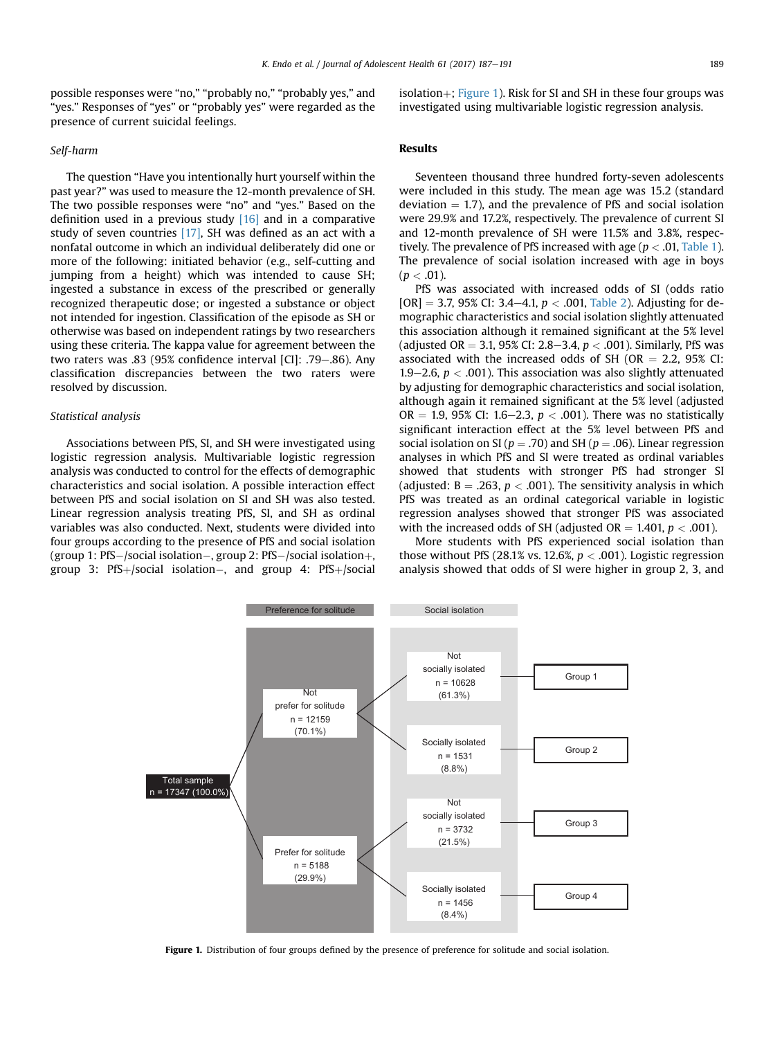possible responses were "no," "probably no," "probably yes," and "yes." Responses of "yes" or "probably yes" were regarded as the presence of current suicidal feelings.

#### Self-harm

The question "Have you intentionally hurt yourself within the past year?" was used to measure the 12-month prevalence of SH. The two possible responses were "no" and "yes." Based on the definition used in a previous study  $[16]$  and in a comparative study of seven countries [\[17\],](#page-4-0) SH was defined as an act with a nonfatal outcome in which an individual deliberately did one or more of the following: initiated behavior (e.g., self-cutting and jumping from a height) which was intended to cause SH; ingested a substance in excess of the prescribed or generally recognized therapeutic dose; or ingested a substance or object not intended for ingestion. Classification of the episode as SH or otherwise was based on independent ratings by two researchers using these criteria. The kappa value for agreement between the two raters was .83 (95% confidence interval [CI]:  $.79-.86$ ). Any classification discrepancies between the two raters were resolved by discussion.

#### Statistical analysis

Associations between PfS, SI, and SH were investigated using logistic regression analysis. Multivariable logistic regression analysis was conducted to control for the effects of demographic characteristics and social isolation. A possible interaction effect between PfS and social isolation on SI and SH was also tested. Linear regression analysis treating PfS, SI, and SH as ordinal variables was also conducted. Next, students were divided into four groups according to the presence of PfS and social isolation (group 1: PfS–/social isolation–, group 2: PfS–/social isolation+,  $group 3: PfS+/social isolation-$ , and  $group 4: PfS+/social$ 

isolation $+$ ; Figure 1). Risk for SI and SH in these four groups was investigated using multivariable logistic regression analysis.

# Results

Seventeen thousand three hundred forty-seven adolescents were included in this study. The mean age was 15.2 (standard deviation  $= 1.7$ ), and the prevalence of PfS and social isolation were 29.9% and 17.2%, respectively. The prevalence of current SI and 12-month prevalence of SH were 11.5% and 3.8%, respectively. The prevalence of PfS increased with age ( $p < .01$ , [Table 1\)](#page-3-0). The prevalence of social isolation increased with age in boys  $(p < .01)$ .

PfS was associated with increased odds of SI (odds ratio  $[OR] = 3.7, 95\%$  CI: 3.4–4.1,  $p < .001$ , [Table 2](#page-3-0)). Adjusting for demographic characteristics and social isolation slightly attenuated this association although it remained significant at the 5% level (adjusted OR = 3.1, 95% CI: 2.8–3.4,  $p < .001$ ). Similarly, PfS was associated with the increased odds of SH (OR  $= 2.2$ , 95% CI: 1.9–2.6,  $p < .001$ ). This association was also slightly attenuated by adjusting for demographic characteristics and social isolation, although again it remained significant at the 5% level (adjusted OR = 1.9, 95% CI: 1.6–2.3,  $p < .001$ ). There was no statistically significant interaction effect at the 5% level between PfS and social isolation on SI ( $p = .70$ ) and SH ( $p = .06$ ). Linear regression analyses in which PfS and SI were treated as ordinal variables showed that students with stronger PfS had stronger SI (adjusted:  $B = .263$ ,  $p < .001$ ). The sensitivity analysis in which PfS was treated as an ordinal categorical variable in logistic regression analyses showed that stronger PfS was associated with the increased odds of SH (adjusted  $OR = 1.401$ ,  $p < .001$ ).

More students with PfS experienced social isolation than those without PfS (28.1% vs. 12.6%,  $p < .001$ ). Logistic regression analysis showed that odds of SI were higher in group 2, 3, and

Preference for solitude Social isolation  $n = 10628$ (61.3%)  $n = 12159$ (70.1%)  $n = 1531$ (8.8%) Total sample  $= 17347(100.0\%)$  n = 3732 (21.5%)  $n = 5188$ (29.9%)  $n = 1456$ (8.4%) Socially isolated Group 4 Not prefer for solitude Prefer for solitude Not socially isolated Group 1 Socially isolated Group 2 Not socially isolated Group 3

Figure 1. Distribution of four groups defined by the presence of preference for solitude and social isolation.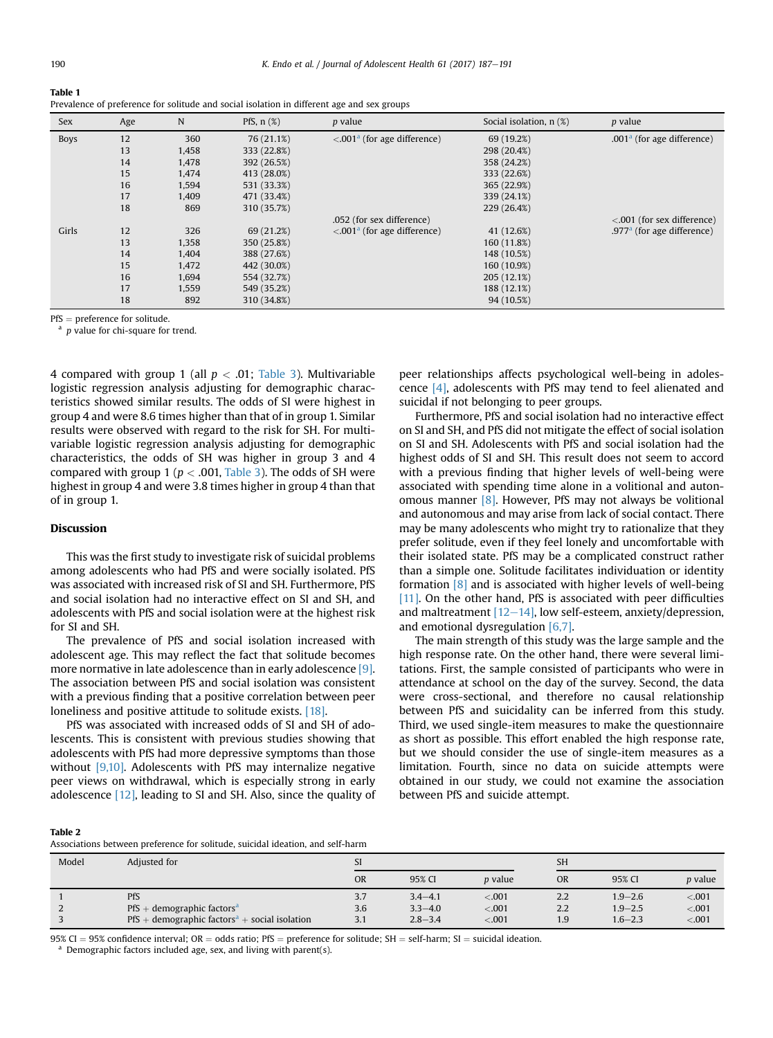<span id="page-3-0"></span>Table 1

| Sex         | Age | $\mathbb N$ | PfS, $n$ $(\%)$ | <i>p</i> value                                 | Social isolation, n (%) | <i>p</i> value                 |
|-------------|-----|-------------|-----------------|------------------------------------------------|-------------------------|--------------------------------|
| <b>Boys</b> | 12  | 360         | 76 (21.1%)      | $\leq 0.001$ <sup>a</sup> (for age difference) | 69 (19.2%)              | .001 $^a$ (for age difference) |
|             | 13  | 1,458       | 333 (22.8%)     |                                                | 298 (20.4%)             |                                |
|             | 14  | 1,478       | 392 (26.5%)     |                                                | 358 (24.2%)             |                                |
|             | 15  | 1,474       | 413 (28.0%)     |                                                | 333 (22.6%)             |                                |
|             | 16  | 1,594       | 531 (33.3%)     |                                                | 365 (22.9%)             |                                |
|             | 17  | 1,409       | 471 (33.4%)     |                                                | 339 (24.1%)             |                                |
|             | 18  | 869         | 310 (35.7%)     |                                                | 229 (26.4%)             |                                |
|             |     |             |                 | .052 (for sex difference)                      |                         | $< 0.001$ (for sex difference) |
| Girls       | 12  | 326         | 69 (21.2%)      | $\leq 0.001$ <sup>a</sup> (for age difference) | 41 (12.6%)              | .977 $a$ (for age difference)  |
|             | 13  | 1,358       | 350 (25.8%)     |                                                | 160 (11.8%)             |                                |
|             | 14  | 1,404       | 388 (27.6%)     |                                                | 148 (10.5%)             |                                |
|             | 15  | 1,472       | 442 (30.0%)     |                                                | 160 (10.9%)             |                                |
|             | 16  | 1,694       | 554 (32.7%)     |                                                | 205 (12.1%)             |                                |
|             | 17  | 1,559       | 549 (35.2%)     |                                                | 188 (12.1%)             |                                |
|             | 18  | 892         | 310 (34.8%)     |                                                | 94 (10.5%)              |                                |

Prevalence of preference for solitude and social isolation in different age and sex groups

PfS = preference for solitude.<br><sup>a</sup> p value for chi-square for trend.

4 compared with group 1 (all  $p < .01$ ; [Table 3\)](#page-4-0). Multivariable logistic regression analysis adjusting for demographic characteristics showed similar results. The odds of SI were highest in group 4 and were 8.6 times higher than that of in group 1. Similar results were observed with regard to the risk for SH. For multivariable logistic regression analysis adjusting for demographic characteristics, the odds of SH was higher in group 3 and 4 compared with group 1 ( $p < .001$ , [Table 3\)](#page-4-0). The odds of SH were highest in group 4 and were 3.8 times higher in group 4 than that of in group 1.

## Discussion

This was the first study to investigate risk of suicidal problems among adolescents who had PfS and were socially isolated. PfS was associated with increased risk of SI and SH. Furthermore, PfS and social isolation had no interactive effect on SI and SH, and adolescents with PfS and social isolation were at the highest risk for SI and SH.

The prevalence of PfS and social isolation increased with adolescent age. This may reflect the fact that solitude becomes more normative in late adolescence than in early adolescence [\[9\].](#page-4-0) The association between PfS and social isolation was consistent with a previous finding that a positive correlation between peer loneliness and positive attitude to solitude exists. [\[18\]](#page-4-0).

PfS was associated with increased odds of SI and SH of adolescents. This is consistent with previous studies showing that adolescents with PfS had more depressive symptoms than those without [\[9,10\]](#page-4-0). Adolescents with PfS may internalize negative peer views on withdrawal, which is especially strong in early adolescence [\[12\],](#page-4-0) leading to SI and SH. Also, since the quality of peer relationships affects psychological well-being in adolescence [\[4\],](#page-4-0) adolescents with PfS may tend to feel alienated and suicidal if not belonging to peer groups.

Furthermore, PfS and social isolation had no interactive effect on SI and SH, and PfS did not mitigate the effect of social isolation on SI and SH. Adolescents with PfS and social isolation had the highest odds of SI and SH. This result does not seem to accord with a previous finding that higher levels of well-being were associated with spending time alone in a volitional and autonomous manner  $[8]$ . However, PfS may not always be volitional and autonomous and may arise from lack of social contact. There may be many adolescents who might try to rationalize that they prefer solitude, even if they feel lonely and uncomfortable with their isolated state. PfS may be a complicated construct rather than a simple one. Solitude facilitates individuation or identity formation  $\begin{bmatrix} 8 \end{bmatrix}$  and is associated with higher levels of well-being [\[11\]](#page-4-0). On the other hand, PfS is associated with peer difficulties and maltreatment  $[12-14]$  $[12-14]$  $[12-14]$ , low self-esteem, anxiety/depression, and emotional dysregulation [\[6,7\]](#page-4-0).

The main strength of this study was the large sample and the high response rate. On the other hand, there were several limitations. First, the sample consisted of participants who were in attendance at school on the day of the survey. Second, the data were cross-sectional, and therefore no causal relationship between PfS and suicidality can be inferred from this study. Third, we used single-item measures to make the questionnaire as short as possible. This effort enabled the high response rate, but we should consider the use of single-item measures as a limitation. Fourth, since no data on suicide attempts were obtained in our study, we could not examine the association between PfS and suicide attempt.

Table 2

Associations between preference for solitude, suicidal ideation, and self-harm

| Model | Adjusted for                                                           | SI        |             |                | <b>SH</b> |             |                |  |  |  |  |
|-------|------------------------------------------------------------------------|-----------|-------------|----------------|-----------|-------------|----------------|--|--|--|--|
|       |                                                                        | <b>OR</b> | 95% CI      | <i>p</i> value | <b>OR</b> | 95% CI      | <i>p</i> value |  |  |  |  |
|       | PfS                                                                    | 3.7       | $3.4 - 4.1$ | $-.001$        | 2.2       | $1.9 - 2.6$ | $-.001$        |  |  |  |  |
|       | $PfS + demographic factorsa$                                           | 3.6       | $3.3 - 4.0$ | $-.001$        | 2.2       | $1.9 - 2.5$ | < 0.001        |  |  |  |  |
|       | PfS + demographic factors <sup><math>a</math></sup> + social isolation | 3.1       | $2.8 - 3.4$ | $-.001$        | 1.9       | $1.6 - 2.3$ | $-.001$        |  |  |  |  |

95% CI = 95% confidence interval; OR = odds ratio; PfS = preference for solitude; SH = self-harm; SI = suicidal ideation. <br><sup>a</sup> Demographic factors included age, sex, and living with parent(s).